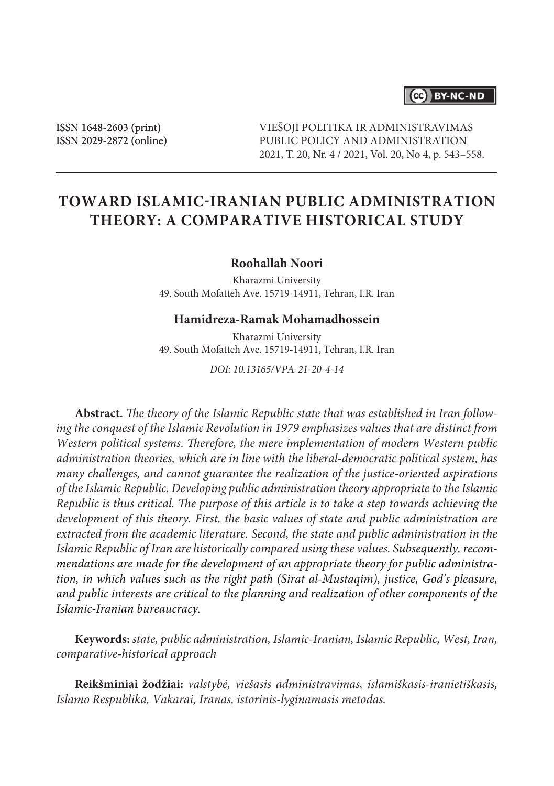## (cc) BY-NC-ND

ISSN 1648-2603 (print) ISSN 2029-2872 (online) VIEŠOJI POLITIKA IR ADMINISTRAVIMAS PUBLIC POLICY AND ADMINISTRATION 2021, T. 20, Nr. 4 / 2021, Vol. 20, No 4, p. 543–558.

# **Toward Islamic-Iranian Public Administration Theory: A Comparative Historical Study**

#### **Roohallah Noori**

Kharazmi University 49. South Mofatteh Ave. 15719-14911, Tehran, I.R. Iran

#### **Hamidreza-Ramak Mohamadhossein**

Kharazmi University 49. South Mofatteh Ave. 15719-14911, Tehran, I.R. Iran

*DOI: 10.13165/VPA-21-20-4-14*

**Abstract.** *The theory of the Islamic Republic state that was established in Iran following the conquest of the Islamic Revolution in 1979 emphasizes values that are distinct from Western political systems. Therefore, the mere implementation of modern Western public administration theories, which are in line with the liberal-democratic political system, has many challenges, and cannot guarantee the realization of the justice-oriented aspirations of the Islamic Republic. Developing public administration theory appropriate to the Islamic Republic is thus critical. The purpose of this article is to take a step towards achieving the development of this theory. First, the basic values of state and public administration are extracted from the academic literature. Second, the state and public administration in the Islamic Republic of Iran are historically compared using these values. Subsequently, recommendations are made for the development of an appropriate theory for public administration, in which values such as the right path (Sirat al-Mustaqim), justice, God's pleasure, and public interests are critical to the planning and realization of other components of the Islamic-Iranian bureaucracy.*

**Keywords:** *state, public administration, Islamic-Iranian, Islamic Republic, West, Iran, comparative-historical approach*

**Reikšminiai žodžiai:** *valstybė, viešasis administravimas, islamiškasis-iranietiškasis, Islamo Respublika, Vakarai, Iranas, istorinis-lyginamasis metodas.*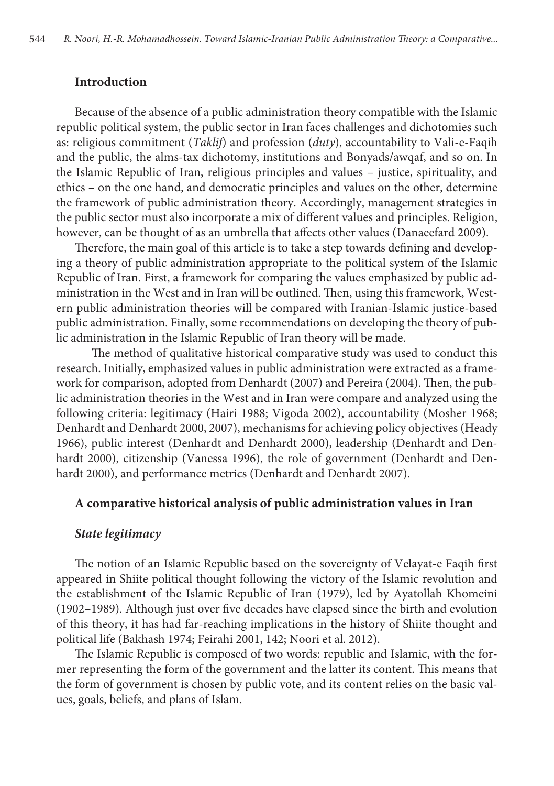#### **Introduction**

Because of the absence of a public administration theory compatible with the Islamic republic political system, the public sector in Iran faces challenges and dichotomies such as: religious commitment (*Taklif*) and profession (*duty*), accountability to Vali-e-Faqih and the public, the alms-tax dichotomy, institutions and Bonyads/awqaf, and so on. In the Islamic Republic of Iran, religious principles and values – justice, spirituality, and ethics – on the one hand, and democratic principles and values on the other, determine the framework of public administration theory. Accordingly, management strategies in the public sector must also incorporate a mix of different values and principles. Religion, however, can be thought of as an umbrella that affects other values (Danaeefard 2009).

Therefore, the main goal of this article is to take a step towards defining and developing a theory of public administration appropriate to the political system of the Islamic Republic of Iran. First, a framework for comparing the values emphasized by public administration in the West and in Iran will be outlined. Then, using this framework, Western public administration theories will be compared with Iranian-Islamic justice-based public administration. Finally, some recommendations on developing the theory of public administration in the Islamic Republic of Iran theory will be made.

 The method of qualitative historical comparative study was used to conduct this research. Initially, emphasized values in public administration were extracted as a framework for comparison, adopted from Denhardt (2007) and Pereira (2004). Then, the public administration theories in the West and in Iran were compare and analyzed using the following criteria: legitimacy (Hairi 1988; Vigoda 2002), accountability (Mosher 1968; Denhardt and Denhardt 2000, 2007), mechanisms for achieving policy objectives (Heady 1966), public interest (Denhardt and Denhardt 2000), leadership (Denhardt and Denhardt 2000), citizenship (Vanessa 1996), the role of government (Denhardt and Denhardt 2000), and performance metrics (Denhardt and Denhardt 2007).

#### **A comparative historical analysis of public administration values in Iran**

#### *State legitimacy*

The notion of an Islamic Republic based on the sovereignty of Velayat-e Faqih first appeared in Shiite political thought following the victory of the Islamic revolution and the establishment of the Islamic Republic of Iran (1979), led by Ayatollah Khomeini (1902–1989). Although just over five decades have elapsed since the birth and evolution of this theory, it has had far-reaching implications in the history of Shiite thought and political life (Bakhash 1974; Feirahi 2001, 142; Noori et al. 2012).

The Islamic Republic is composed of two words: republic and Islamic, with the former representing the form of the government and the latter its content. This means that the form of government is chosen by public vote, and its content relies on the basic values, goals, beliefs, and plans of Islam.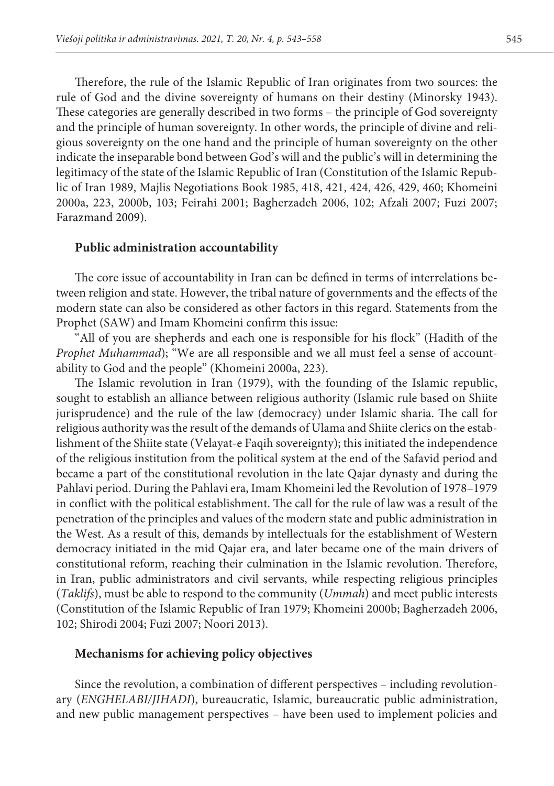Therefore, the rule of the Islamic Republic of Iran originates from two sources: the rule of God and the divine sovereignty of humans on their destiny (Minorsky 1943). These categories are generally described in two forms – the principle of God sovereignty and the principle of human sovereignty. In other words, the principle of divine and religious sovereignty on the one hand and the principle of human sovereignty on the other indicate the inseparable bond between God's will and the public's will in determining the legitimacy of the state of the Islamic Republic of Iran (Constitution of the Islamic Republic of Iran 1989, Majlis Negotiations Book 1985, 418, 421, 424, 426, 429, 460; Khomeini 2000a, 223, 2000b, 103; Feirahi 2001; Bagherzadeh 2006, 102; Afzali 2007; Fuzi 2007; Farazmand 2009).

#### **Public administration accountability**

The core issue of accountability in Iran can be defined in terms of interrelations between religion and state. However, the tribal nature of governments and the effects of the modern state can also be considered as other factors in this regard. Statements from the Prophet (SAW) and Imam Khomeini confirm this issue:

"All of you are shepherds and each one is responsible for his flock" (Hadith of the *Prophet Muhammad*); "We are all responsible and we all must feel a sense of accountability to God and the people" (Khomeini 2000a, 223).

The Islamic revolution in Iran (1979), with the founding of the Islamic republic, sought to establish an alliance between religious authority (Islamic rule based on Shiite jurisprudence) and the rule of the law (democracy) under Islamic sharia. The call for religious authority was the result of the demands of Ulama and Shiite clerics on the establishment of the Shiite state (Velayat-e Faqih sovereignty); this initiated the independence of the religious institution from the political system at the end of the Safavid period and became a part of the constitutional revolution in the late Qajar dynasty and during the Pahlavi period. During the Pahlavi era, Imam Khomeini led the Revolution of 1978–1979 in conflict with the political establishment. The call for the rule of law was a result of the penetration of the principles and values of the modern state and public administration in the West. As a result of this, demands by intellectuals for the establishment of Western democracy initiated in the mid Qajar era, and later became one of the main drivers of constitutional reform, reaching their culmination in the Islamic revolution. Therefore, in Iran, public administrators and civil servants, while respecting religious principles (*Taklifs*), must be able to respond to the community (*Ummah*) and meet public interests (Constitution of the Islamic Republic of Iran 1979; Khomeini 2000b; Bagherzadeh 2006, 102; Shirodi 2004; Fuzi 2007; Noori 2013).

#### **Mechanisms for achieving policy objectives**

Since the revolution, a combination of different perspectives – including revolutionary (*ENGHELABI/JIHADI*), bureaucratic, Islamic, bureaucratic public administration, and new public management perspectives – have been used to implement policies and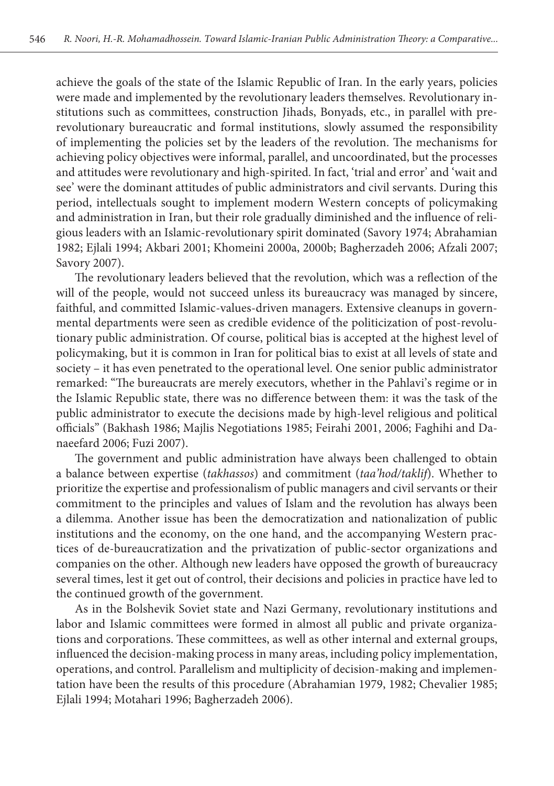achieve the goals of the state of the Islamic Republic of Iran. In the early years, policies were made and implemented by the revolutionary leaders themselves. Revolutionary institutions such as committees, construction Jihads, Bonyads, etc., in parallel with prerevolutionary bureaucratic and formal institutions, slowly assumed the responsibility of implementing the policies set by the leaders of the revolution. The mechanisms for achieving policy objectives were informal, parallel, and uncoordinated, but the processes and attitudes were revolutionary and high-spirited. In fact, 'trial and error' and 'wait and see' were the dominant attitudes of public administrators and civil servants. During this period, intellectuals sought to implement modern Western concepts of policymaking and administration in Iran, but their role gradually diminished and the influence of religious leaders with an Islamic-revolutionary spirit dominated (Savory 1974; Abrahamian 1982; Ejlali 1994; Akbari 2001; Khomeini 2000a, 2000b; Bagherzadeh 2006; Afzali 2007; Savory 2007).

The revolutionary leaders believed that the revolution, which was a reflection of the will of the people, would not succeed unless its bureaucracy was managed by sincere, faithful, and committed Islamic-values-driven managers. Extensive cleanups in governmental departments were seen as credible evidence of the politicization of post-revolutionary public administration. Of course, political bias is accepted at the highest level of policymaking, but it is common in Iran for political bias to exist at all levels of state and society – it has even penetrated to the operational level. One senior public administrator remarked: "The bureaucrats are merely executors, whether in the Pahlavi's regime or in the Islamic Republic state, there was no difference between them: it was the task of the public administrator to execute the decisions made by high-level religious and political officials" (Bakhash 1986; Majlis Negotiations 1985; Feirahi 2001, 2006; Faghihi and Danaeefard 2006; Fuzi 2007).

The government and public administration have always been challenged to obtain a balance between expertise (*takhassos*) and commitment (*taa'hod/taklif*). Whether to prioritize the expertise and professionalism of public managers and civil servants or their commitment to the principles and values of Islam and the revolution has always been a dilemma. Another issue has been the democratization and nationalization of public institutions and the economy, on the one hand, and the accompanying Western practices of de-bureaucratization and the privatization of public-sector organizations and companies on the other. Although new leaders have opposed the growth of bureaucracy several times, lest it get out of control, their decisions and policies in practice have led to the continued growth of the government.

As in the Bolshevik Soviet state and Nazi Germany, revolutionary institutions and labor and Islamic committees were formed in almost all public and private organizations and corporations. These committees, as well as other internal and external groups, influenced the decision-making process in many areas, including policy implementation, operations, and control. Parallelism and multiplicity of decision-making and implementation have been the results of this procedure (Abrahamian 1979, 1982; Chevalier 1985; Ejlali 1994; Motahari 1996; Bagherzadeh 2006).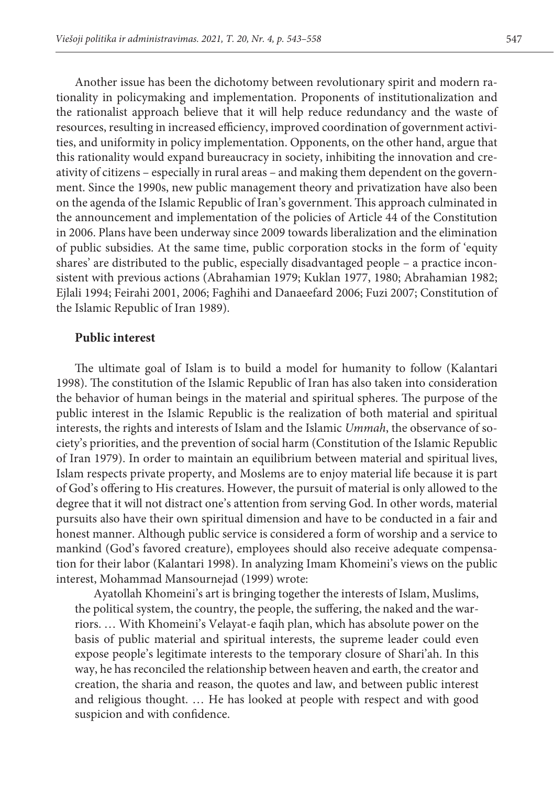Another issue has been the dichotomy between revolutionary spirit and modern rationality in policymaking and implementation. Proponents of institutionalization and the rationalist approach believe that it will help reduce redundancy and the waste of resources, resulting in increased efficiency, improved coordination of government activities, and uniformity in policy implementation. Opponents, on the other hand, argue that this rationality would expand bureaucracy in society, inhibiting the innovation and creativity of citizens – especially in rural areas – and making them dependent on the government. Since the 1990s, new public management theory and privatization have also been on the agenda of the Islamic Republic of Iran's government. This approach culminated in the announcement and implementation of the policies of Article 44 of the Constitution in 2006. Plans have been underway since 2009 towards liberalization and the elimination of public subsidies. At the same time, public corporation stocks in the form of 'equity shares' are distributed to the public, especially disadvantaged people – a practice inconsistent with previous actions (Abrahamian 1979; Kuklan 1977, 1980; Abrahamian 1982; Ejlali 1994; Feirahi 2001, 2006; Faghihi and Danaeefard 2006; Fuzi 2007; Constitution of the Islamic Republic of Iran 1989).

#### **Public interest**

The ultimate goal of Islam is to build a model for humanity to follow (Kalantari 1998). The constitution of the Islamic Republic of Iran has also taken into consideration the behavior of human beings in the material and spiritual spheres. The purpose of the public interest in the Islamic Republic is the realization of both material and spiritual interests, the rights and interests of Islam and the Islamic *Ummah*, the observance of society's priorities, and the prevention of social harm (Constitution of the Islamic Republic of Iran 1979). In order to maintain an equilibrium between material and spiritual lives, Islam respects private property, and Moslems are to enjoy material life because it is part of God's offering to His creatures. However, the pursuit of material is only allowed to the degree that it will not distract one's attention from serving God. In other words, material pursuits also have their own spiritual dimension and have to be conducted in a fair and honest manner. Although public service is considered a form of worship and a service to mankind (God's favored creature), employees should also receive adequate compensation for their labor (Kalantari 1998). In analyzing Imam Khomeini's views on the public interest, Mohammad Mansournejad (1999) wrote:

Ayatollah Khomeini's art is bringing together the interests of Islam, Muslims, the political system, the country, the people, the suffering, the naked and the warriors. … With Khomeini's Velayat-e faqih plan, which has absolute power on the basis of public material and spiritual interests, the supreme leader could even expose people's legitimate interests to the temporary closure of Shari'ah. In this way, he has reconciled the relationship between heaven and earth, the creator and creation, the sharia and reason, the quotes and law, and between public interest and religious thought. … He has looked at people with respect and with good suspicion and with confidence.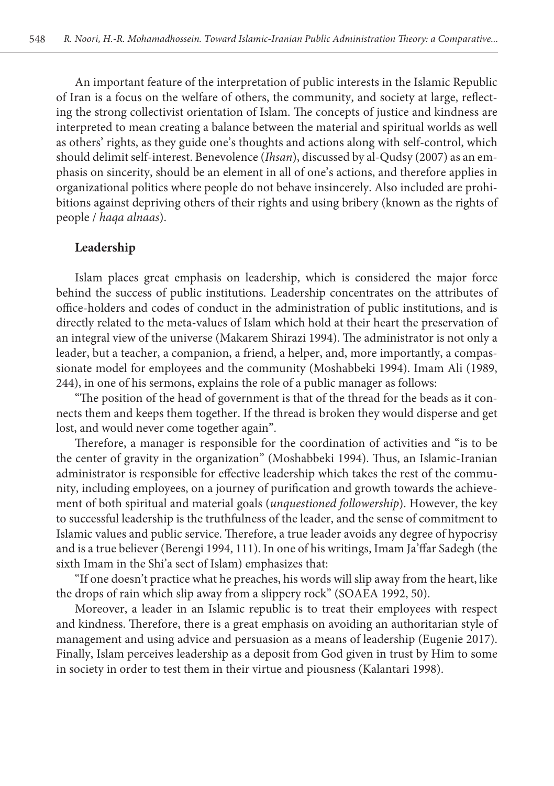An important feature of the interpretation of public interests in the Islamic Republic of Iran is a focus on the welfare of others, the community, and society at large, reflecting the strong collectivist orientation of Islam. The concepts of justice and kindness are interpreted to mean creating a balance between the material and spiritual worlds as well as others' rights, as they guide one's thoughts and actions along with self-control, which should delimit self-interest. Benevolence (*Ihsan*), discussed by al-Qudsy (2007) as an emphasis on sincerity, should be an element in all of one's actions, and therefore applies in organizational politics where people do not behave insincerely. Also included are prohibitions against depriving others of their rights and using bribery (known as the rights of people / *haqa alnaas*).

#### **Leadership**

Islam places great emphasis on leadership, which is considered the major force behind the success of public institutions. Leadership concentrates on the attributes of office-holders and codes of conduct in the administration of public institutions, and is directly related to the meta-values of Islam which hold at their heart the preservation of an integral view of the universe (Makarem Shirazi 1994). The administrator is not only a leader, but a teacher, a companion, a friend, a helper, and, more importantly, a compassionate model for employees and the community (Moshabbeki 1994). Imam Ali (1989, 244), in one of his sermons, explains the role of a public manager as follows:

"The position of the head of government is that of the thread for the beads as it connects them and keeps them together. If the thread is broken they would disperse and get lost, and would never come together again".

Therefore, a manager is responsible for the coordination of activities and "is to be the center of gravity in the organization" (Moshabbeki 1994). Thus, an Islamic-Iranian administrator is responsible for effective leadership which takes the rest of the community, including employees, on a journey of purification and growth towards the achievement of both spiritual and material goals (*unquestioned followership*). However, the key to successful leadership is the truthfulness of the leader, and the sense of commitment to Islamic values and public service. Therefore, a true leader avoids any degree of hypocrisy and is a true believer (Berengi 1994, 111). In one of his writings, Imam Ja'ffar Sadegh (the sixth Imam in the Shi'a sect of Islam) emphasizes that:

"If one doesn't practice what he preaches, his words will slip away from the heart, like the drops of rain which slip away from a slippery rock" (SOAEA 1992, 50).

Moreover, a leader in an Islamic republic is to treat their employees with respect and kindness. Therefore, there is a great emphasis on avoiding an authoritarian style of management and using advice and persuasion as a means of leadership (Eugenie 2017). Finally, Islam perceives leadership as a deposit from God given in trust by Him to some in society in order to test them in their virtue and piousness (Kalantari 1998).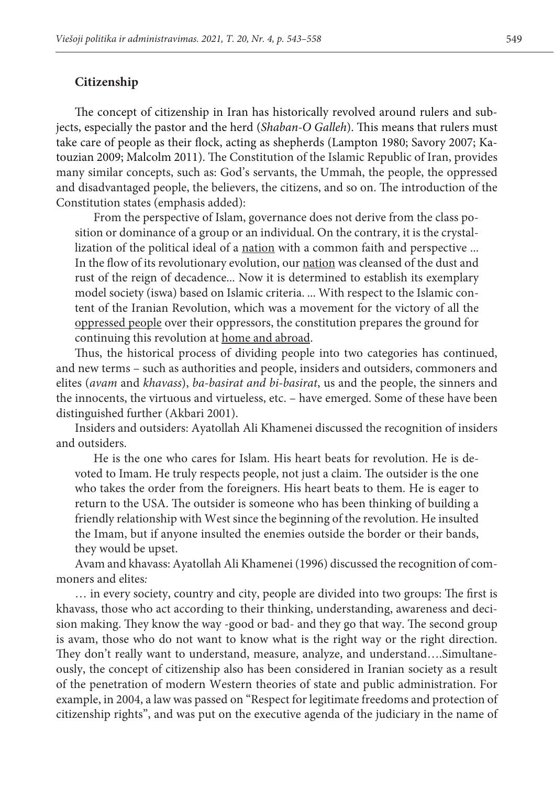#### **Citizenship**

The concept of citizenship in Iran has historically revolved around rulers and subjects, especially the pastor and the herd (*Shaban-O Galleh*). This means that rulers must take care of people as their flock, acting as shepherds (Lampton 1980; Savory 2007; Katouzian 2009; Malcolm 2011). The Constitution of the Islamic Republic of Iran, provides many similar concepts, such as: God's servants, the Ummah, the people, the oppressed and disadvantaged people, the believers, the citizens, and so on. The introduction of the Constitution states (emphasis added):

From the perspective of Islam, governance does not derive from the class position or dominance of a group or an individual. On the contrary, it is the crystallization of the political ideal of a nation with a common faith and perspective ... In the flow of its revolutionary evolution, our nation was cleansed of the dust and rust of the reign of decadence... Now it is determined to establish its exemplary model society (iswa) based on Islamic criteria. ... With respect to the Islamic content of the Iranian Revolution, which was a movement for the victory of all the oppressed people over their oppressors, the constitution prepares the ground for continuing this revolution at home and abroad.

Thus, the historical process of dividing people into two categories has continued, and new terms – such as authorities and people, insiders and outsiders, commoners and elites (*avam* and *khavass*), *ba-basirat and bi-basirat*, us and the people, the sinners and the innocents, the virtuous and virtueless, etc. – have emerged. Some of these have been distinguished further (Akbari 2001).

Insiders and outsiders: Ayatollah Ali Khamenei discussed the recognition of insiders and outsiders.

He is the one who cares for Islam. His heart beats for revolution. He is devoted to Imam. He truly respects people, not just a claim. The outsider is the one who takes the order from the foreigners. His heart beats to them. He is eager to return to the USA. The outsider is someone who has been thinking of building a friendly relationship with West since the beginning of the revolution. He insulted the Imam, but if anyone insulted the enemies outside the border or their bands, they would be upset.

Avam and khavass: Ayatollah Ali Khamenei (1996) discussed the recognition of commoners and elites*:* 

… in every society, country and city, people are divided into two groups: The first is khavass, those who act according to their thinking, understanding, awareness and decision making. They know the way -good or bad- and they go that way. The second group is avam, those who do not want to know what is the right way or the right direction. They don't really want to understand, measure, analyze, and understand….Simultaneously, the concept of citizenship also has been considered in Iranian society as a result of the penetration of modern Western theories of state and public administration. For example, in 2004, a law was passed on "Respect for legitimate freedoms and protection of citizenship rights", and was put on the executive agenda of the judiciary in the name of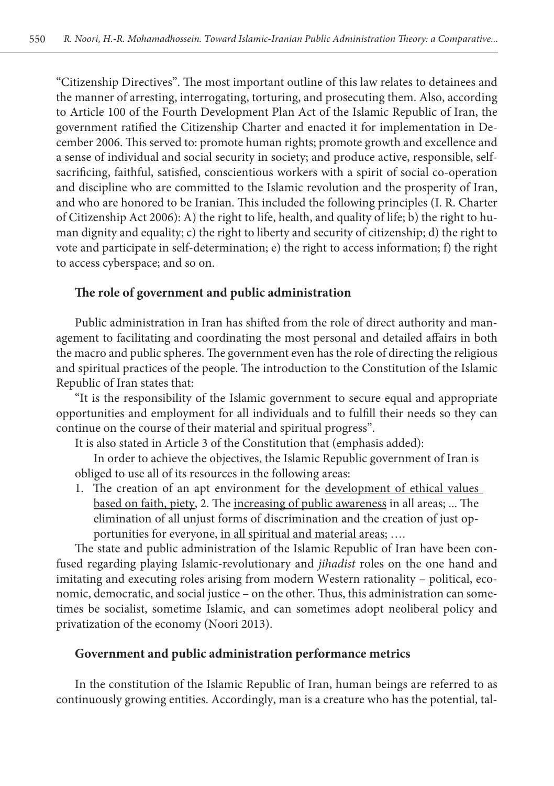"Citizenship Directives". The most important outline of this law relates to detainees and the manner of arresting, interrogating, torturing, and prosecuting them. Also, according to Article 100 of the Fourth Development Plan Act of the Islamic Republic of Iran, the government ratified the Citizenship Charter and enacted it for implementation in December 2006. This served to: promote human rights; promote growth and excellence and a sense of individual and social security in society; and produce active, responsible, selfsacrificing, faithful, satisfied, conscientious workers with a spirit of social co-operation and discipline who are committed to the Islamic revolution and the prosperity of Iran, and who are honored to be Iranian. This included the following principles (I. R. Charter of Citizenship Act 2006): A) the right to life, health, and quality of life; b) the right to human dignity and equality; c) the right to liberty and security of citizenship; d) the right to vote and participate in self-determination; e) the right to access information; f) the right to access cyberspace; and so on.

## **The role of government and public administration**

Public administration in Iran has shifted from the role of direct authority and management to facilitating and coordinating the most personal and detailed affairs in both the macro and public spheres. The government even has the role of directing the religious and spiritual practices of the people. The introduction to the Constitution of the Islamic Republic of Iran states that:

"It is the responsibility of the Islamic government to secure equal and appropriate opportunities and employment for all individuals and to fulfill their needs so they can continue on the course of their material and spiritual progress".

It is also stated in Article 3 of the Constitution that (emphasis added):

In order to achieve the objectives, the Islamic Republic government of Iran is obliged to use all of its resources in the following areas:

1. The creation of an apt environment for the development of ethical values based on faith, piety, 2. The increasing of public awareness in all areas; ... The elimination of all unjust forms of discrimination and the creation of just opportunities for everyone, in all spiritual and material areas; ....

The state and public administration of the Islamic Republic of Iran have been confused regarding playing Islamic-revolutionary and *jihadist* roles on the one hand and imitating and executing roles arising from modern Western rationality – political, economic, democratic, and social justice – on the other. Thus, this administration can sometimes be socialist, sometime Islamic, and can sometimes adopt neoliberal policy and privatization of the economy (Noori 2013).

### **Government and public administration performance metrics**

In the constitution of the Islamic Republic of Iran, human beings are referred to as continuously growing entities. Accordingly, man is a creature who has the potential, tal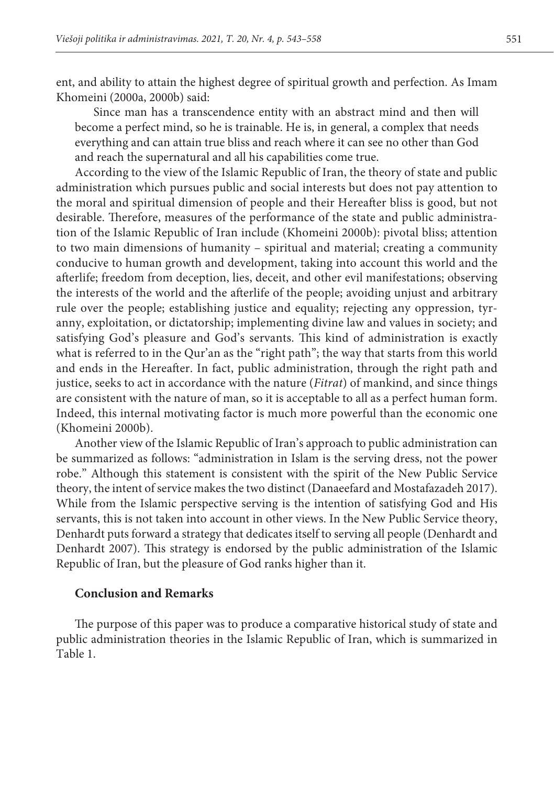ent, and ability to attain the highest degree of spiritual growth and perfection. As Imam Khomeini (2000a, 2000b) said:

Since man has a transcendence entity with an abstract mind and then will become a perfect mind, so he is trainable. He is, in general, a complex that needs everything and can attain true bliss and reach where it can see no other than God and reach the supernatural and all his capabilities come true.

According to the view of the Islamic Republic of Iran, the theory of state and public administration which pursues public and social interests but does not pay attention to the moral and spiritual dimension of people and their Hereafter bliss is good, but not desirable. Therefore, measures of the performance of the state and public administration of the Islamic Republic of Iran include (Khomeini 2000b): pivotal bliss; attention to two main dimensions of humanity – spiritual and material; creating a community conducive to human growth and development, taking into account this world and the afterlife; freedom from deception, lies, deceit, and other evil manifestations; observing the interests of the world and the afterlife of the people; avoiding unjust and arbitrary rule over the people; establishing justice and equality; rejecting any oppression, tyranny, exploitation, or dictatorship; implementing divine law and values in society; and satisfying God's pleasure and God's servants. This kind of administration is exactly what is referred to in the Qur'an as the "right path"; the way that starts from this world and ends in the Hereafter. In fact, public administration, through the right path and justice, seeks to act in accordance with the nature (*Fitrat*) of mankind, and since things are consistent with the nature of man, so it is acceptable to all as a perfect human form. Indeed, this internal motivating factor is much more powerful than the economic one (Khomeini 2000b).

Another view of the Islamic Republic of Iran's approach to public administration can be summarized as follows: "administration in Islam is the serving dress, not the power robe." Although this statement is consistent with the spirit of the New Public Service theory, the intent of service makes the two distinct (Danaeefard and Mostafazadeh 2017). While from the Islamic perspective serving is the intention of satisfying God and His servants, this is not taken into account in other views. In the New Public Service theory, Denhardt puts forward a strategy that dedicates itself to serving all people (Denhardt and Denhardt 2007). This strategy is endorsed by the public administration of the Islamic Republic of Iran, but the pleasure of God ranks higher than it.

### **Conclusion and Remarks**

The purpose of this paper was to produce a comparative historical study of state and public administration theories in the Islamic Republic of Iran, which is summarized in Table 1.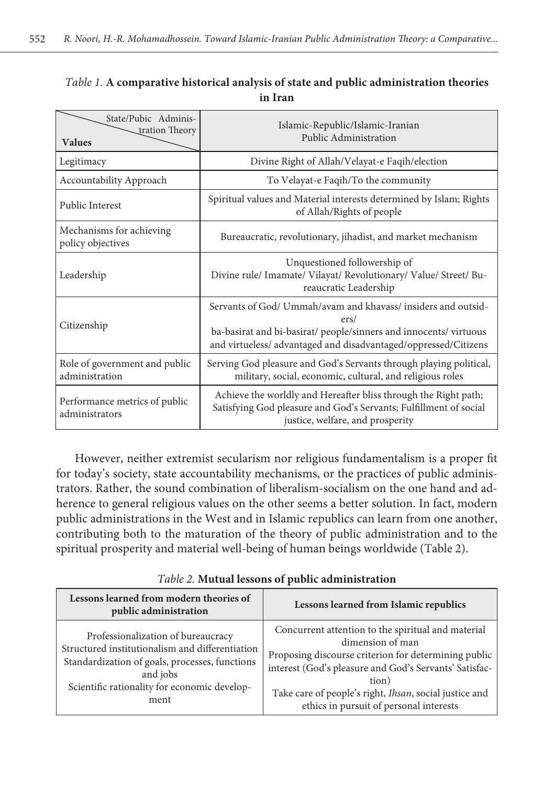## *Table 1.* **A comparative historical analysis of state and public administration theories in Iran**

| State/Pubic Adminis-<br>tration Theory<br><b>Values</b> | Islamic-Republic/Islamic-Iranian<br>Public Administration                                                                                                                                                     |
|---------------------------------------------------------|---------------------------------------------------------------------------------------------------------------------------------------------------------------------------------------------------------------|
| Legitimacy                                              | Divine Right of Allah/Velayat-e Faqih/election                                                                                                                                                                |
| Accountability Approach                                 | To Velayat-e Faqih/To the community                                                                                                                                                                           |
| Public Interest                                         | Spiritual values and Material interests determined by Islam; Rights<br>of Allah/Rights of people                                                                                                              |
| Mechanisms for achieving<br>policy objectives           | Bureaucratic, revolutionary, jihadist, and market mechanism                                                                                                                                                   |
| Leadership                                              | Unquestioned followership of<br>Divine rule/ Imamate/ Vilayat/ Revolutionary/ Value/ Street/ Bu-<br>reaucratic Leadership                                                                                     |
| Citizenship                                             | Servants of God/ Ummah/avam and khavass/ insiders and outsid-<br>ers/<br>ba-basirat and bi-basirat/ people/sinners and innocents/ virtuous<br>and virtueless/ advantaged and disadvantaged/oppressed/Citizens |
| Role of government and public<br>administration         | Serving God pleasure and God's Servants through playing political,<br>military, social, economic, cultural, and religious roles                                                                               |
| Performance metrics of public<br>administrators         | Achieve the worldly and Hereafter bliss through the Right path;<br>Satisfying God pleasure and God's Servants; Fulfillment of social<br>justice, welfare, and prosperity                                      |

However, neither extremist secularism nor religious fundamentalism is a proper fit for today's society, state accountability mechanisms, or the practices of public administrators. Rather, the sound combination of liberalism-socialism on the one hand and adherence to general religious values on the other seems a better solution. In fact, modern public administrations in the West and in Islamic republics can learn from one another, contributing both to the maturation of the theory of public administration and to the spiritual prosperity and material well-being of human beings worldwide (Table 2).

| Lessons learned from modern theories of<br>public administration                                                                                                                                            | Lessons learned from Islamic republics                                                                                                                                                                                                                                                                 |
|-------------------------------------------------------------------------------------------------------------------------------------------------------------------------------------------------------------|--------------------------------------------------------------------------------------------------------------------------------------------------------------------------------------------------------------------------------------------------------------------------------------------------------|
| Professionalization of bureaucracy<br>Structured institutionalism and differentiation<br>Standardization of goals, processes, functions<br>and jobs<br>Scientific rationality for economic develop-<br>ment | Concurrent attention to the spiritual and material<br>dimension of man<br>Proposing discourse criterion for determining public<br>interest (God's pleasure and God's Servants' Satisfac-<br>tion)<br>Take care of people's right, Ihsan, social justice and<br>ethics in pursuit of personal interests |

*Table 2.* **Mutual lessons of public administration**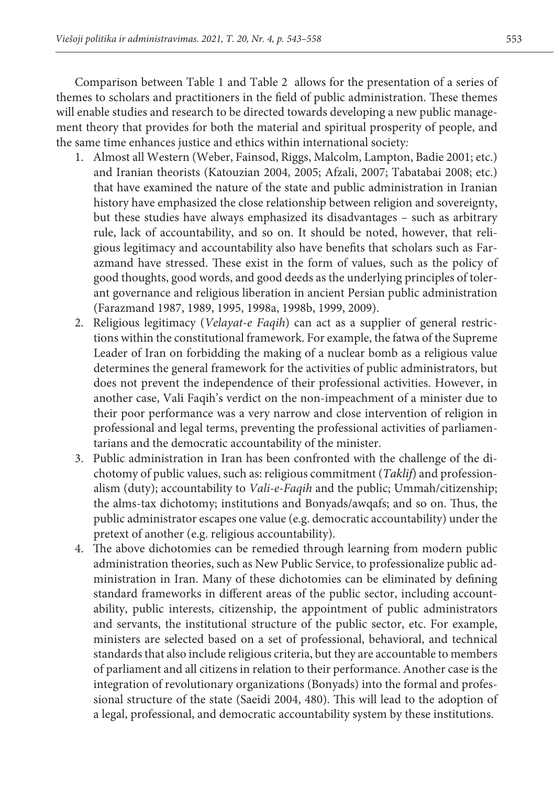Comparison between Table 1 and Table 2 allows for the presentation of a series of themes to scholars and practitioners in the field of public administration. These themes will enable studies and research to be directed towards developing a new public management theory that provides for both the material and spiritual prosperity of people, and the same time enhances justice and ethics within international society*:*

- 1. Almost all Western (Weber, Fainsod, Riggs, Malcolm, Lampton, Badie 2001; etc.) and Iranian theorists (Katouzian 2004, 2005; Afzali, 2007; Tabatabai 2008; etc.) that have examined the nature of the state and public administration in Iranian history have emphasized the close relationship between religion and sovereignty, but these studies have always emphasized its disadvantages – such as arbitrary rule, lack of accountability, and so on. It should be noted, however, that religious legitimacy and accountability also have benefits that scholars such as Farazmand have stressed. These exist in the form of values, such as the policy of good thoughts, good words, and good deeds as the underlying principles of tolerant governance and religious liberation in ancient Persian public administration (Farazmand 1987, 1989, 1995, 1998a, 1998b, 1999, 2009).
- 2. Religious legitimacy (*Velayat-e Faqih*) can act as a supplier of general restrictions within the constitutional framework. For example, the fatwa of the Supreme Leader of Iran on forbidding the making of a nuclear bomb as a religious value determines the general framework for the activities of public administrators, but does not prevent the independence of their professional activities. However, in another case, Vali Faqih's verdict on the non-impeachment of a minister due to their poor performance was a very narrow and close intervention of religion in professional and legal terms, preventing the professional activities of parliamentarians and the democratic accountability of the minister.
- 3. Public administration in Iran has been confronted with the challenge of the dichotomy of public values, such as: religious commitment (*Taklif*) and professionalism (duty); accountability to *Vali-e-Faqih* and the public; Ummah/citizenship; the alms-tax dichotomy; institutions and Bonyads/awqafs; and so on. Thus, the public administrator escapes one value (e.g. democratic accountability) under the pretext of another (e.g. religious accountability).
- 4. The above dichotomies can be remedied through learning from modern public administration theories, such as New Public Service, to professionalize public administration in Iran. Many of these dichotomies can be eliminated by defining standard frameworks in different areas of the public sector, including accountability, public interests, citizenship, the appointment of public administrators and servants, the institutional structure of the public sector, etc. For example, ministers are selected based on a set of professional, behavioral, and technical standards that also include religious criteria, but they are accountable to members of parliament and all citizens in relation to their performance. Another case is the integration of revolutionary organizations (Bonyads) into the formal and professional structure of the state (Saeidi 2004, 480). This will lead to the adoption of a legal, professional, and democratic accountability system by these institutions.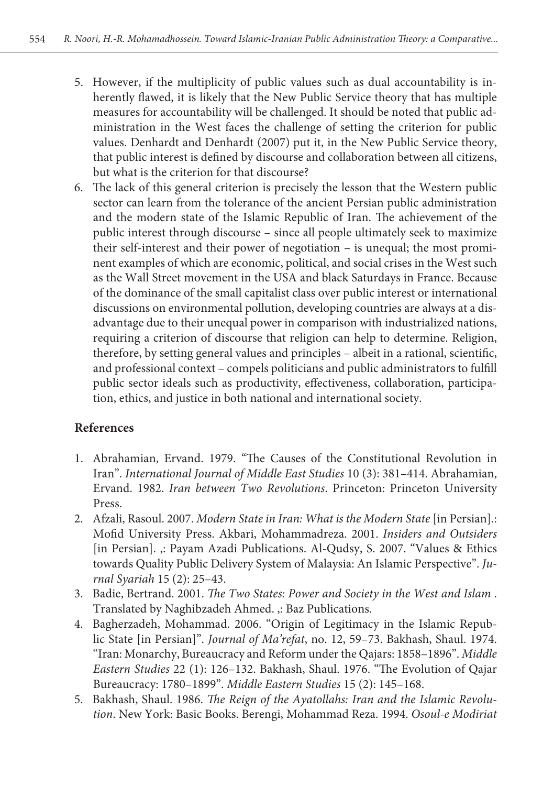- 5. However, if the multiplicity of public values such as dual accountability is inherently flawed, it is likely that the New Public Service theory that has multiple measures for accountability will be challenged. It should be noted that public administration in the West faces the challenge of setting the criterion for public values. Denhardt and Denhardt (2007) put it, in the New Public Service theory, that public interest is defined by discourse and collaboration between all citizens, but what is the criterion for that discourse?
- 6. The lack of this general criterion is precisely the lesson that the Western public sector can learn from the tolerance of the ancient Persian public administration and the modern state of the Islamic Republic of Iran. The achievement of the public interest through discourse – since all people ultimately seek to maximize their self-interest and their power of negotiation – is unequal; the most prominent examples of which are economic, political, and social crises in the West such as the Wall Street movement in the USA and black Saturdays in France. Because of the dominance of the small capitalist class over public interest or international discussions on environmental pollution, developing countries are always at a disadvantage due to their unequal power in comparison with industrialized nations, requiring a criterion of discourse that religion can help to determine. Religion, therefore, by setting general values and principles – albeit in a rational, scientific, and professional context – compels politicians and public administrators to fulfill public sector ideals such as productivity, effectiveness, collaboration, participation, ethics, and justice in both national and international society.

## **References**

- 1. Abrahamian, Ervand. 1979. "The Causes of the Constitutional Revolution in Iran". *International Journal of Middle East Studies* 10 (3): 381–414. Abrahamian, Ervand. 1982. *Iran between Two Revolutions*. Princeton: Princeton University Press.
- 2. Afzali, Rasoul. 2007. *Modern State in Iran: What is the Modern State* [in Persian].: Mofid University Press. Akbari, Mohammadreza. 2001. *Insiders and Outsiders* [in Persian]. ,: Payam Azadi Publications. Al-Qudsy, S. 2007. "Values & Ethics towards Quality Public Delivery System of Malaysia: An Islamic Perspective". *Jurnal Syariah* 15 (2): 25–43.
- 3. Badie, Bertrand. 2001. *The Two States: Power and Society in the West and Islam* . Translated by Naghibzadeh Ahmed. ,: Baz Publications.
- 4. Bagherzadeh, Mohammad. 2006. "Origin of Legitimacy in the Islamic Republic State [in Persian]". *Journal of Ma'refat*, no. 12, 59–73. Bakhash, Shaul. 1974. "Iran: Monarchy, Bureaucracy and Reform under the Qajars: 1858–1896". *Middle Eastern Studies* 22 (1): 126–132. Bakhash, Shaul. 1976. "The Evolution of Qajar Bureaucracy: 1780–1899". *Middle Eastern Studies* 15 (2): 145–168.
- 5. Bakhash, Shaul. 1986. *The Reign of the Ayatollahs: Iran and the Islamic Revolution*. New York: Basic Books. Berengi, Mohammad Reza. 1994. *Osoul-e Modiriat*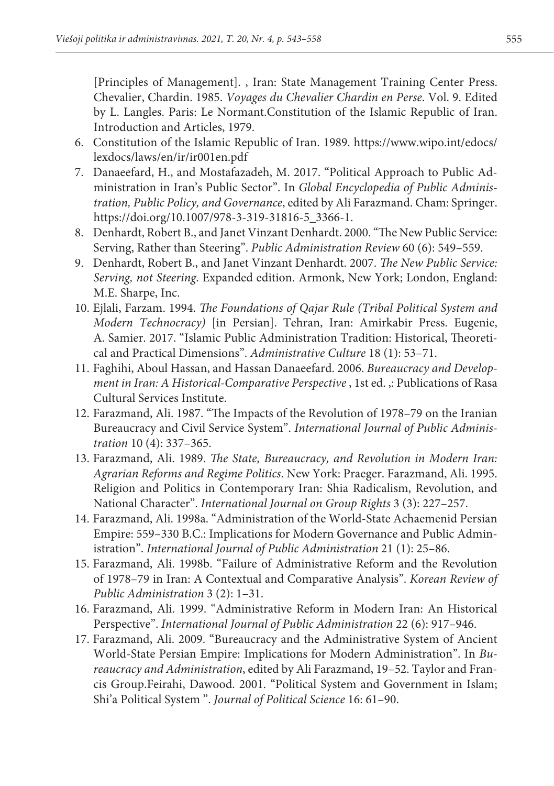[Principles of Management]. , Iran: State Management Training Center Press. Chevalier, Chardin. 1985. *Voyages du Chevalier Chardin en Perse*. Vol. 9. Edited by L. Langles. Paris: Le Normant.Constitution of the Islamic Republic of Iran. Introduction and Articles, 1979.

- 6. Constitution of the Islamic Republic of Iran. 1989. https://www.wipo.int/edocs/ lexdocs/laws/en/ir/ir001en.pdf
- 7. Danaeefard, H., and Mostafazadeh, M. 2017. "Political Approach to Public Administration in Iran's Public Sector". In *Global Encyclopedia of Public Administration, Public Policy, and Governance*, edited by Ali Farazmand. Cham: Springer. https://doi.org/10.1007/978-3-319-31816-5\_3366-1.
- 8. Denhardt, Robert B., and Janet Vinzant Denhardt. 2000. "The New Public Service: Serving, Rather than Steering". *Public Administration Review* 60 (6): 549–559.
- 9. Denhardt, Robert B., and Janet Vinzant Denhardt. 2007. *The New Public Service: Serving, not Steering*. Expanded edition. Armonk, New York; London, England: M.E. Sharpe, Inc.
- 10. Ejlali, Farzam. 1994. *The Foundations of Qajar Rule (Tribal Political System and Modern Technocracy)* [in Persian]. Tehran, Iran: Amirkabir Press. Eugenie, A. Samier. 2017. "Islamic Public Administration Tradition: Historical, Theoretical and Practical Dimensions". *Administrative Culture* 18 (1): 53–71.
- 11. Faghihi, Aboul Hassan, and Hassan Danaeefard. 2006. *Bureaucracy and Development in Iran: A Historical-Comparative Perspective* , 1st ed. ,: Publications of Rasa Cultural Services Institute.
- 12. Farazmand, Ali. 1987. "The Impacts of the Revolution of 1978–79 on the Iranian Bureaucracy and Civil Service System". *International Journal of Public Administration* 10 (4): 337–365.
- 13. Farazmand, Ali. 1989. *The State, Bureaucracy, and Revolution in Modern Iran: Agrarian Reforms and Regime Politics*. New York: Praeger. Farazmand, Ali. 1995. Religion and Politics in Contemporary Iran: Shia Radicalism, Revolution, and National Character". *International Journal on Group Rights* 3 (3): 227–257.
- 14. Farazmand, Ali. 1998a. "Administration of the World-State Achaemenid Persian Empire: 559–330 B.C.: Implications for Modern Governance and Public Administration". *International Journal of Public Administration* 21 (1): 25–86.
- 15. Farazmand, Ali. 1998b. "Failure of Administrative Reform and the Revolution of 1978–79 in Iran: A Contextual and Comparative Analysis". *Korean Review of Public Administration* 3 (2): 1–31.
- 16. Farazmand, Ali. 1999. "Administrative Reform in Modern Iran: An Historical Perspective". *International Journal of Public Administration* 22 (6): 917–946.
- 17. Farazmand, Ali. 2009. "Bureaucracy and the Administrative System of Ancient World-State Persian Empire: Implications for Modern Administration". In *Bureaucracy and Administration*, edited by Ali Farazmand, 19–52. Taylor and Francis Group.Feirahi, Dawood. 2001. "Political System and Government in Islam; Shi'a Political System ". *Journal of Political Science* 16: 61–90.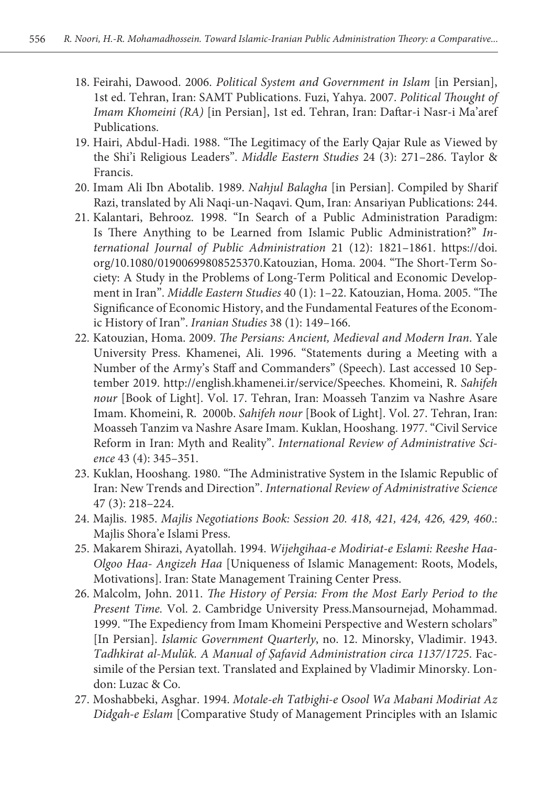- 18. Feirahi, Dawood. 2006. *Political System and Government in Islam* [in Persian], 1st ed. Tehran, Iran: SAMT Publications. Fuzi, Yahya. 2007. *Political Thought of Imam Khomeini (RA)* [in Persian], 1st ed. Tehran, Iran: Daftar-i Nasr-i Ma'aref Publications.
- 19. Hairi, Abdul-Hadi. 1988. "The Legitimacy of the Early Qajar Rule as Viewed by the Shi'i Religious Leaders". *Middle Eastern Studies* 24 (3): 271–286. Taylor & Francis.
- 20. Imam Ali Ibn Abotalib. 1989. *Nahjul Balagha* [in Persian]. Compiled by Sharif Razi, translated by Ali Naqi-un-Naqavi. Qum, Iran: Ansariyan Publications: 244.
- 21. Kalantari, Behrooz. 1998. "In Search of a Public Administration Paradigm: Is There Anything to be Learned from Islamic Public Administration?" *International Journal of Public Administration* 21 (12): 1821–1861. https://doi. org/10.1080/01900699808525370.Katouzian, Homa. 2004. "The Short-Term Society: A Study in the Problems of Long-Term Political and Economic Development in Iran". *Middle Eastern Studies* 40 (1): 1–22. Katouzian, Homa. 2005. "The Significance of Economic History, and the Fundamental Features of the Economic History of Iran". *Iranian Studies* 38 (1): 149–166.
- 22. Katouzian, Homa. 2009. *The Persians: Ancient, Medieval and Modern Iran*. Yale University Press. Khamenei, Ali. 1996. "Statements during a Meeting with a Number of the Army's Staff and Commanders" (Speech). Last accessed 10 September 2019. http://english.khamenei.ir/service/Speeches. Khomeini, R. *Sahifeh nour* [Book of Light]. Vol. 17. Tehran, Iran: Moasseh Tanzim va Nashre Asare Imam. Khomeini, R. 2000b. *Sahifeh nour* [Book of Light]. Vol. 27. Tehran, Iran: Moasseh Tanzim va Nashre Asare Imam. Kuklan, Hooshang. 1977. "Civil Service Reform in Iran: Myth and Reality". *International Review of Administrative Science* 43 (4): 345–351.
- 23. Kuklan, Hooshang. 1980. "The Administrative System in the Islamic Republic of Iran: New Trends and Direction". *International Review of Administrative Science* 47 (3): 218–224.
- 24. Majlis. 1985. *Majlis Negotiations Book: Session 20. 418, 421, 424, 426, 429, 460*.: Majlis Shora'e Islami Press.
- 25. Makarem Shirazi, Ayatollah. 1994. *Wijehgihaa-e Modiriat-e Eslami: Reeshe Haa-Olgoo Haa- Angizeh Haa* [Uniqueness of Islamic Management: Roots, Models, Motivations]. Iran: State Management Training Center Press.
- 26. Malcolm, John. 2011. *The History of Persia: From the Most Early Period to the Present Time.* Vol. 2. Cambridge University Press.Mansournejad, Mohammad. 1999. "The Expediency from Imam Khomeini Perspective and Western scholars" [In Persian]. *Islamic Government Quarterly*, no. 12. Minorsky, Vladimir. 1943. *Tadhkirat al-Mulūk. A Manual of Ṣafavid Administration circa 1137/1725*. Facsimile of the Persian text. Translated and Explained by Vladimir Minorsky. London: Luzac & Co.
- 27. Moshabbeki, Asghar. 1994. *Motale-eh Tatbighi-e Osool Wa Mabani Modiriat Az Didgah-e Eslam* [Comparative Study of Management Principles with an Islamic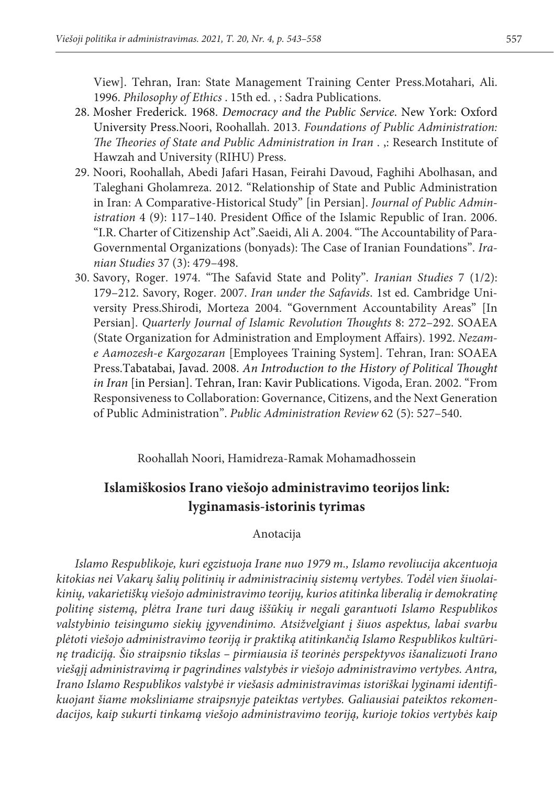View]. Tehran, Iran: State Management Training Center Press.Motahari, Ali. 1996. *Philosophy of Ethics* . 15th ed. , : Sadra Publications.

- 28. Mosher Frederick. 1968. *Democracy and the Public Service*. New York: Oxford University Press.Noori, Roohallah. 2013. *Foundations of Public Administration: The Theories of State and Public Administration in Iran* . ,: Research Institute of Hawzah and University (RIHU) Press.
- 29. Noori, Roohallah, Abedi Jafari Hasan, Feirahi Davoud, Faghihi Abolhasan, and Taleghani Gholamreza. 2012. "Relationship of State and Public Administration in Iran: A Comparative-Historical Study" [in Persian]. *Journal of Public Administration* 4 (9): 117–140. President Office of the Islamic Republic of Iran. 2006. "I.R. Charter of Citizenship Act".Saeidi, Ali A. 2004. "The Accountability of Para-Governmental Organizations (bonyads): The Case of Iranian Foundations". *Iranian Studies* 37 (3): 479–498.
- 30. Savory, Roger. 1974. "The Safavid State and Polity". *Iranian Studies* 7 (1/2): 179–212. Savory, Roger. 2007. *Iran under the Safavids*. 1st ed. Cambridge University Press.Shirodi, Morteza 2004. "Government Accountability Areas" [In Persian]. *Quarterly Journal of Islamic Revolution Thoughts* 8: 272–292. SOAEA (State Organization for Administration and Employment Affairs). 1992. *Nezame Aamozesh-e Kargozaran* [Employees Training System]. Tehran, Iran: SOAEA Press.Tabatabai, Javad. 2008. *An Introduction to the History of Political Thought in Iran* [in Persian]. Tehran, Iran: Kavir Publications. Vigoda, Eran. 2002. "From Responsiveness to Collaboration: Governance, Citizens, and the Next Generation of Public Administration". *Public Administration Review* 62 (5): 527–540.

Roohallah Noori, Hamidreza-Ramak Mohamadhossein

## **Islamiškosios Irano viešojo administravimo teorijos link: lyginamasis-istorinis tyrimas**

Anotacija

*Islamo Respublikoje, kuri egzistuoja Irane nuo 1979 m., Islamo revoliucija akcentuoja kitokias nei Vakarų šalių politinių ir administracinių sistemų vertybes. Todėl vien šiuolaikinių, vakarietiškų viešojo administravimo teorijų, kurios atitinka liberalią ir demokratinę politinę sistemą, plėtra Irane turi daug iššūkių ir negali garantuoti Islamo Respublikos valstybinio teisingumo siekių įgyvendinimo. Atsižvelgiant į šiuos aspektus, labai svarbu plėtoti viešojo administravimo teoriją ir praktiką atitinkančią Islamo Respublikos kultūrinę tradiciją. Šio straipsnio tikslas – pirmiausia iš teorinės perspektyvos išanalizuoti Irano viešąjį administravimą ir pagrindines valstybės ir viešojo administravimo vertybes. Antra, Irano Islamo Respublikos valstybė ir viešasis administravimas istoriškai lyginami identifikuojant šiame moksliniame straipsnyje pateiktas vertybes. Galiausiai pateiktos rekomendacijos, kaip sukurti tinkamą viešojo administravimo teoriją, kurioje tokios vertybės kaip*